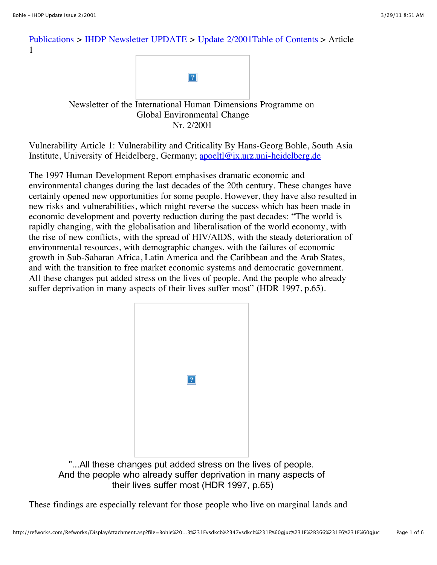## [Publications](http://www.ihdp.uni-bonn.de/html/publications/publications.html) > [IHDP Newsletter UPDATE](http://www.ihdp.uni-bonn.de/html/publications/update.html) > [Update 2/2001Table of Contents](http://www.ihdp.uni-bonn.de/html/publications/update/IHDPUpdate01_02.html) > Article 1



## Newsletter of the International Human Dimensions Programme on Global Environmental Change Nr. 2/2001

Vulnerability Article 1: Vulnerability and Criticality By Hans-Georg Bohle, South Asia Institute, University of Heidelberg, Germany; [apoeltl@ix.urz.uni-heidelberg.de](mailto:apoeltl@ix.urz.uni-heidelberg.de)

The 1997 Human Development Report emphasises dramatic economic and environmental changes during the last decades of the 20th century. These changes have certainly opened new opportunities for some people. However, they have also resulted in new risks and vulnerabilities, which might reverse the success which has been made in economic development and poverty reduction during the past decades: "The world is rapidly changing, with the globalisation and liberalisation of the world economy, with the rise of new conflicts, with the spread of HIV/AIDS, with the steady deterioration of environmental resources, with demographic changes, with the failures of economic growth in Sub-Saharan Africa, Latin America and the Caribbean and the Arab States, and with the transition to free market economic systems and democratic government. All these changes put added stress on the lives of people. And the people who already suffer deprivation in many aspects of their lives suffer most" (HDR 1997, p.65).



"...All these changes put added stress on the lives of people. And the people who already suffer deprivation in many aspects of their lives suffer most (HDR 1997, p.65)

These findings are especially relevant for those people who live on marginal lands and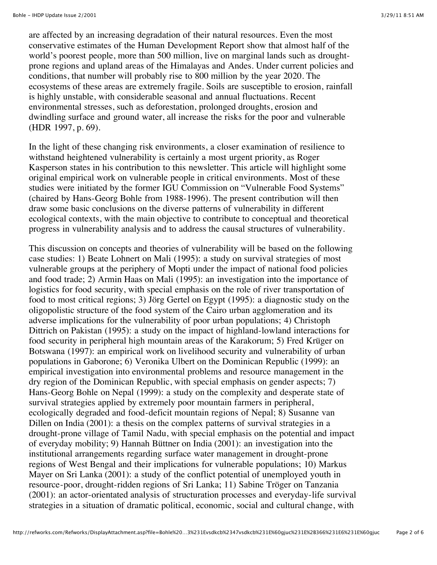are affected by an increasing degradation of their natural resources. Even the most conservative estimates of the Human Development Report show that almost half of the world's poorest people, more than 500 million, live on marginal lands such as droughtprone regions and upland areas of the Himalayas and Andes. Under current policies and conditions, that number will probably rise to 800 million by the year 2020. The ecosystems of these areas are extremely fragile. Soils are susceptible to erosion, rainfall is highly unstable, with considerable seasonal and annual fluctuations. Recent environmental stresses, such as deforestation, prolonged droughts, erosion and dwindling surface and ground water, all increase the risks for the poor and vulnerable (HDR 1997, p. 69).

In the light of these changing risk environments, a closer examination of resilience to withstand heightened vulnerability is certainly a most urgent priority, as Roger Kasperson states in his contribution to this newsletter. This article will highlight some original empirical work on vulnerable people in critical environments. Most of these studies were initiated by the former IGU Commission on "Vulnerable Food Systems" (chaired by Hans-Georg Bohle from 1988-1996). The present contribution will then draw some basic conclusions on the diverse patterns of vulnerability in different ecological contexts, with the main objective to contribute to conceptual and theoretical progress in vulnerability analysis and to address the causal structures of vulnerability.

This discussion on concepts and theories of vulnerability will be based on the following case studies: 1) Beate Lohnert on Mali (1995): a study on survival strategies of most vulnerable groups at the periphery of Mopti under the impact of national food policies and food trade; 2) Armin Haas on Mali (1995): an investigation into the importance of logistics for food security, with special emphasis on the role of river transportation of food to most critical regions; 3) Jörg Gertel on Egypt (1995): a diagnostic study on the oligopolistic structure of the food system of the Cairo urban agglomeration and its adverse implications for the vulnerability of poor urban populations; 4) Christoph Dittrich on Pakistan (1995): a study on the impact of highland-lowland interactions for food security in peripheral high mountain areas of the Karakorum; 5) Fred Krüger on Botswana (1997): an empirical work on livelihood security and vulnerability of urban populations in Gaborone; 6) Veronika Ulbert on the Dominican Republic (1999): an empirical investigation into environmental problems and resource management in the dry region of the Dominican Republic, with special emphasis on gender aspects; 7) Hans-Georg Bohle on Nepal (1999): a study on the complexity and desperate state of survival strategies applied by extremely poor mountain farmers in peripheral, ecologically degraded and food-deficit mountain regions of Nepal; 8) Susanne van Dillen on India (2001): a thesis on the complex patterns of survival strategies in a drought-prone village of Tamil Nadu, with special emphasis on the potential and impact of everyday mobility; 9) Hannah Büttner on India (2001): an investigation into the institutional arrangements regarding surface water management in drought-prone regions of West Bengal and their implications for vulnerable populations; 10) Markus Mayer on Sri Lanka (2001): a study of the conflict potential of unemployed youth in resource-poor, drought-ridden regions of Sri Lanka; 11) Sabine Tröger on Tanzania (2001): an actor-orientated analysis of structuration processes and everyday-life survival strategies in a situation of dramatic political, economic, social and cultural change, with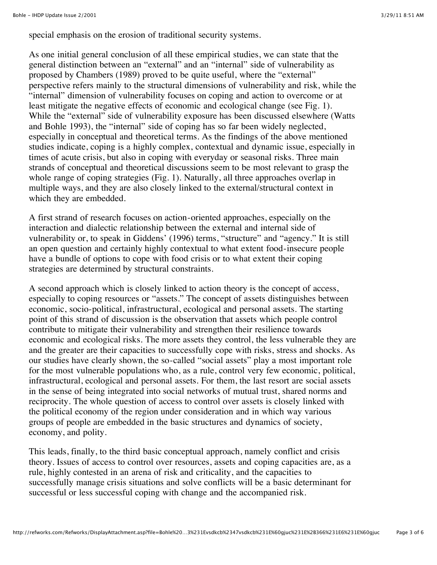special emphasis on the erosion of traditional security systems.

As one initial general conclusion of all these empirical studies, we can state that the general distinction between an "external" and an "internal" side of vulnerability as proposed by Chambers (1989) proved to be quite useful, where the "external" perspective refers mainly to the structural dimensions of vulnerability and risk, while the "internal" dimension of vulnerability focuses on coping and action to overcome or at least mitigate the negative effects of economic and ecological change (see Fig. 1). While the "external" side of vulnerability exposure has been discussed elsewhere (Watts and Bohle 1993), the "internal" side of coping has so far been widely neglected, especially in conceptual and theoretical terms. As the findings of the above mentioned studies indicate, coping is a highly complex, contextual and dynamic issue, especially in times of acute crisis, but also in coping with everyday or seasonal risks. Three main strands of conceptual and theoretical discussions seem to be most relevant to grasp the whole range of coping strategies (Fig. 1). Naturally, all three approaches overlap in multiple ways, and they are also closely linked to the external/structural context in which they are embedded.

A first strand of research focuses on action-oriented approaches, especially on the interaction and dialectic relationship between the external and internal side of vulnerability or, to speak in Giddens' (1996) terms, "structure" and "agency." It is still an open question and certainly highly contextual to what extent food-insecure people have a bundle of options to cope with food crisis or to what extent their coping strategies are determined by structural constraints.

A second approach which is closely linked to action theory is the concept of access, especially to coping resources or "assets." The concept of assets distinguishes between economic, socio-political, infrastructural, ecological and personal assets. The starting point of this strand of discussion is the observation that assets which people control contribute to mitigate their vulnerability and strengthen their resilience towards economic and ecological risks. The more assets they control, the less vulnerable they are and the greater are their capacities to successfully cope with risks, stress and shocks. As our studies have clearly shown, the so-called "social assets" play a most important role for the most vulnerable populations who, as a rule, control very few economic, political, infrastructural, ecological and personal assets. For them, the last resort are social assets in the sense of being integrated into social networks of mutual trust, shared norms and reciprocity. The whole question of access to control over assets is closely linked with the political economy of the region under consideration and in which way various groups of people are embedded in the basic structures and dynamics of society, economy, and polity.

This leads, finally, to the third basic conceptual approach, namely conflict and crisis theory. Issues of access to control over resources, assets and coping capacities are, as a rule, highly contested in an arena of risk and criticality, and the capacities to successfully manage crisis situations and solve conflicts will be a basic determinant for successful or less successful coping with change and the accompanied risk.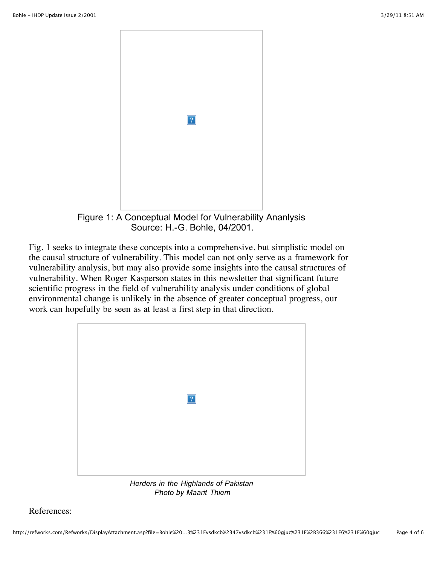

Source: H.-G. Bohle, 04/2001.

Fig. 1 seeks to integrate these concepts into a comprehensive, but simplistic model on the causal structure of vulnerability. This model can not only serve as a framework for vulnerability analysis, but may also provide some insights into the causal structures of vulnerability. When Roger Kasperson states in this newsletter that significant future scientific progress in the field of vulnerability analysis under conditions of global environmental change is unlikely in the absence of greater conceptual progress, our work can hopefully be seen as at least a first step in that direction.



*Herders in the Highlands of Pakistan Photo by Maarit Thiem*

References: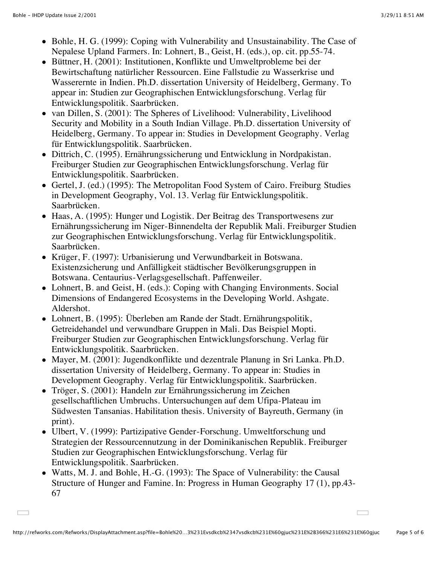$\Box$ 

 $\sim$ 

- Bohle, H. G. (1999): Coping with Vulnerability and Unsustainability. The Case of Nepalese Upland Farmers. In: Lohnert, B., Geist, H. (eds.), op. cit. pp.55-74.
- Büttner, H. (2001): Institutionen, Konflikte und Umweltprobleme bei der Bewirtschaftung natürlicher Ressourcen. Eine Fallstudie zu Wasserkrise und Wasserernte in Indien. Ph.D. dissertation University of Heidelberg, Germany. To appear in: Studien zur Geographischen Entwicklungsforschung. Verlag für Entwicklungspolitik. Saarbrücken.
- van Dillen, S. (2001): The Spheres of Livelihood: Vulnerability, Livelihood Security and Mobility in a South Indian Village. Ph.D. dissertation University of Heidelberg, Germany. To appear in: Studies in Development Geography. Verlag für Entwicklungspolitik. Saarbrücken.
- Dittrich, C. (1995). Ernährungssicherung und Entwicklung in Nordpakistan. Freiburger Studien zur Geographischen Entwicklungsforschung. Verlag für Entwicklungspolitik. Saarbrücken.
- Gertel, J. (ed.) (1995): The Metropolitan Food System of Cairo. Freiburg Studies in Development Geography, Vol. 13. Verlag für Entwicklungspolitik. Saarbrücken.
- Haas, A. (1995): Hunger und Logistik. Der Beitrag des Transportwesens zur Ernährungssicherung im Niger-Binnendelta der Republik Mali. Freiburger Studien zur Geographischen Entwicklungsforschung. Verlag für Entwicklungspolitik. Saarbrücken.
- Krüger, F. (1997): Urbanisierung und Verwundbarkeit in Botswana. Existenzsicherung und Anfälligkeit städtischer Bevölkerungsgruppen in Botswana. Centaurius-Verlagsgesellschaft. Paffenweiler.
- Lohnert, B. and Geist, H. (eds.): Coping with Changing Environments. Social Dimensions of Endangered Ecosystems in the Developing World. Ashgate. Aldershot.
- Lohnert, B. (1995): Überleben am Rande der Stadt. Ernährungspolitik, Getreidehandel und verwundbare Gruppen in Mali. Das Beispiel Mopti. Freiburger Studien zur Geographischen Entwicklungsforschung. Verlag für Entwicklungspolitik. Saarbrücken.
- Mayer, M. (2001): Jugendkonflikte und dezentrale Planung in Sri Lanka. Ph.D. dissertation University of Heidelberg, Germany. To appear in: Studies in Development Geography. Verlag für Entwicklungspolitik. Saarbrücken.
- Tröger, S. (2001): Handeln zur Ernährungssicherung im Zeichen gesellschaftlichen Umbruchs. Untersuchungen auf dem Ufipa-Plateau im Südwesten Tansanias. Habilitation thesis. University of Bayreuth, Germany (in print).
- Ulbert, V. (1999): Partizipative Gender-Forschung. Umweltforschung und Strategien der Ressourcennutzung in der Dominikanischen Republik. Freiburger Studien zur Geographischen Entwicklungsforschung. Verlag für Entwicklungspolitik. Saarbrücken.
- Watts, M. J. and Bohle, H.-G. (1993): The Space of Vulnerability: the Causal Structure of Hunger and Famine. In: Progress in Human Geography 17 (1), pp.43- 67